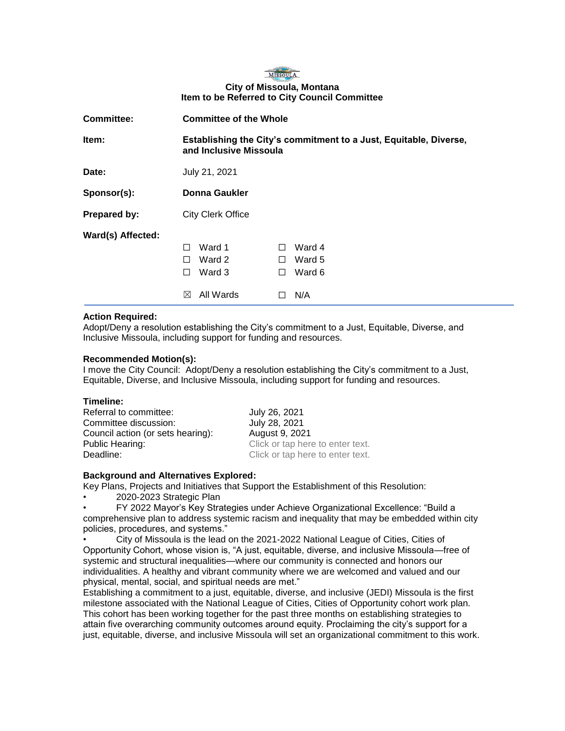

## **City of Missoula, Montana Item to be Referred to City Council Committee**

| <b>Committee:</b> | <b>Committee of the Whole</b>                                                               |                            |                         |                            |
|-------------------|---------------------------------------------------------------------------------------------|----------------------------|-------------------------|----------------------------|
| Item:             | Establishing the City's commitment to a Just, Equitable, Diverse,<br>and Inclusive Missoula |                            |                         |                            |
| Date:             | July 21, 2021                                                                               |                            |                         |                            |
| Sponsor(s):       | Donna Gaukler                                                                               |                            |                         |                            |
| Prepared by:      | <b>City Clerk Office</b>                                                                    |                            |                         |                            |
| Ward(s) Affected: | П<br>П<br>П                                                                                 | Ward 1<br>Ward 2<br>Ward 3 | $\perp$<br>П<br>$\perp$ | Ward 4<br>Ward 5<br>Ward 6 |
|                   | $\bowtie$                                                                                   | All Wards                  |                         | N/A                        |

### **Action Required:**

Adopt/Deny a resolution establishing the City's commitment to a Just, Equitable, Diverse, and Inclusive Missoula, including support for funding and resources.

### **Recommended Motion(s):**

I move the City Council: Adopt/Deny a resolution establishing the City's commitment to a Just, Equitable, Diverse, and Inclusive Missoula, including support for funding and resources.

Referral to committee: July 26, 2021 Committee discussion: July 28, 2021 Council action (or sets hearing): August 9, 2021 Public Hearing: The Click or tap here to enter text. Deadline: Deadline: Click or tap here to enter text.

## **Background and Alternatives Explored:**

Key Plans, Projects and Initiatives that Support the Establishment of this Resolution:

• 2020-2023 Strategic Plan

• FY 2022 Mayor's Key Strategies under Achieve Organizational Excellence: "Build a comprehensive plan to address systemic racism and inequality that may be embedded within city policies, procedures, and systems."

• City of Missoula is the lead on the 2021-2022 National League of Cities, Cities of Opportunity Cohort, whose vision is, "A just, equitable, diverse, and inclusive Missoula—free of systemic and structural inequalities—where our community is connected and honors our individualities. A healthy and vibrant community where we are welcomed and valued and our physical, mental, social, and spiritual needs are met."

Establishing a commitment to a just, equitable, diverse, and inclusive (JEDI) Missoula is the first milestone associated with the National League of Cities, Cities of Opportunity cohort work plan. This cohort has been working together for the past three months on establishing strategies to attain five overarching community outcomes around equity. Proclaiming the city's support for a just, equitable, diverse, and inclusive Missoula will set an organizational commitment to this work.